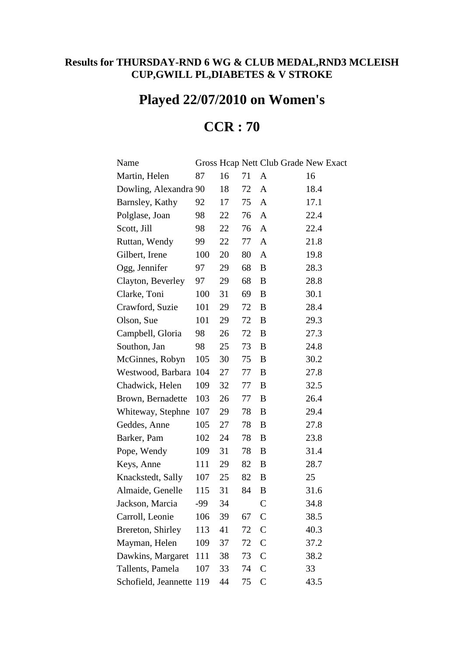## **Results for THURSDAY-RND 6 WG & CLUB MEDAL,RND3 MCLEISH CUP,GWILL PL,DIABETES & V STROKE**

## **Played 22/07/2010 on Women's**

## **CCR : 70**

| Name                     |     |    |    | Gross Hcap Nett Club Grade New Exact |      |
|--------------------------|-----|----|----|--------------------------------------|------|
| Martin, Helen            | 87  | 16 | 71 | A                                    | 16   |
| Dowling, Alexandra 90    |     | 18 | 72 | A                                    | 18.4 |
| Barnsley, Kathy          | 92  | 17 | 75 | A                                    | 17.1 |
| Polglase, Joan           | 98  | 22 | 76 | A                                    | 22.4 |
| Scott, Jill              | 98  | 22 | 76 | $\mathbf{A}$                         | 22.4 |
| Ruttan, Wendy            | 99  | 22 | 77 | $\mathbf{A}$                         | 21.8 |
| Gilbert, Irene           | 100 | 20 | 80 | A                                    | 19.8 |
| Ogg, Jennifer            | 97  | 29 | 68 | B                                    | 28.3 |
| Clayton, Beverley        | 97  | 29 | 68 | B                                    | 28.8 |
| Clarke, Toni             | 100 | 31 | 69 | B                                    | 30.1 |
| Crawford, Suzie          | 101 | 29 | 72 | B                                    | 28.4 |
| Olson, Sue               | 101 | 29 | 72 | B                                    | 29.3 |
| Campbell, Gloria         | 98  | 26 | 72 | B                                    | 27.3 |
| Southon, Jan             | 98  | 25 | 73 | B                                    | 24.8 |
| McGinnes, Robyn          | 105 | 30 | 75 | B                                    | 30.2 |
| Westwood, Barbara        | 104 | 27 | 77 | B                                    | 27.8 |
| Chadwick, Helen          | 109 | 32 | 77 | B                                    | 32.5 |
| Brown, Bernadette        | 103 | 26 | 77 | B                                    | 26.4 |
| Whiteway, Stephne        | 107 | 29 | 78 | $\, {\bf B}$                         | 29.4 |
| Geddes, Anne             | 105 | 27 | 78 | B                                    | 27.8 |
| Barker, Pam              | 102 | 24 | 78 | B                                    | 23.8 |
| Pope, Wendy              | 109 | 31 | 78 | B                                    | 31.4 |
| Keys, Anne               | 111 | 29 | 82 | B                                    | 28.7 |
| Knackstedt, Sally        | 107 | 25 | 82 | $\, {\bf B}$                         | 25   |
| Almaide, Genelle         | 115 | 31 | 84 | B                                    | 31.6 |
| Jackson, Marcia          | -99 | 34 |    | $\mathcal{C}$                        | 34.8 |
| Carroll, Leonie          | 106 | 39 | 67 | $\mathsf{C}$                         | 38.5 |
| Brereton, Shirley        | 113 | 41 | 72 | $\mathcal{C}$                        | 40.3 |
| Mayman, Helen            | 109 | 37 | 72 | $\mathsf{C}$                         | 37.2 |
| Dawkins, Margaret        | 111 | 38 | 73 | $\overline{C}$                       | 38.2 |
| Tallents, Pamela         | 107 | 33 | 74 | $\mathcal{C}$                        | 33   |
| Schofield, Jeannette 119 |     | 44 | 75 | $\mathcal{C}$                        | 43.5 |